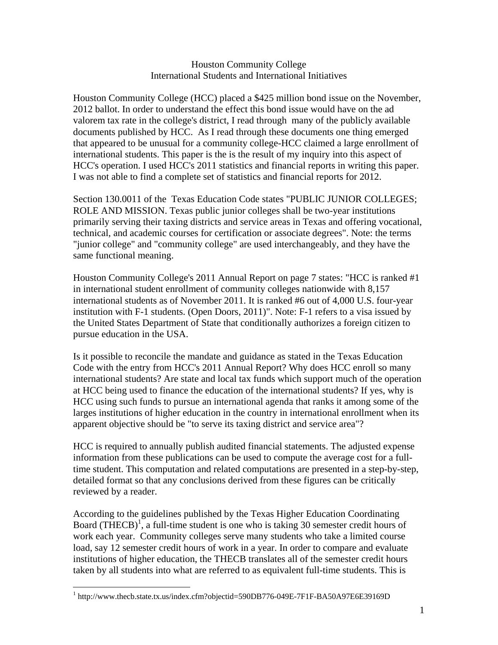## Houston Community College International Students and International Initiatives

Houston Community College (HCC) placed a \$425 million bond issue on the November, 2012 ballot. In order to understand the effect this bond issue would have on the ad valorem tax rate in the college's district, I read through many of the publicly available documents published by HCC. As I read through these documents one thing emerged that appeared to be unusual for a community college-HCC claimed a large enrollment of international students. This paper is the is the result of my inquiry into this aspect of HCC's operation. I used HCC's 2011 statistics and financial reports in writing this paper. I was not able to find a complete set of statistics and financial reports for 2012.

Section 130.0011 of the Texas Education Code states "PUBLIC JUNIOR COLLEGES; ROLE AND MISSION. Texas public junior colleges shall be two-year institutions primarily serving their taxing districts and service areas in Texas and offering vocational, technical, and academic courses for certification or associate degrees". Note: the terms "junior college" and "community college" are used interchangeably, and they have the same functional meaning.

Houston Community College's 2011 Annual Report on page 7 states: "HCC is ranked #1 in international student enrollment of community colleges nationwide with 8,157 international students as of November 2011. It is ranked #6 out of 4,000 U.S. four-year institution with F-1 students. (Open Doors, 2011)". Note: F-1 refers to a visa issued by the United States Department of State that conditionally authorizes a foreign citizen to pursue education in the USA.

Is it possible to reconcile the mandate and guidance as stated in the Texas Education Code with the entry from HCC's 2011 Annual Report? Why does HCC enroll so many international students? Are state and local tax funds which support much of the operation at HCC being used to finance the education of the international students? If yes, why is HCC using such funds to pursue an international agenda that ranks it among some of the larges institutions of higher education in the country in international enrollment when its apparent objective should be "to serve its taxing district and service area"?

HCC is required to annually publish audited financial statements. The adjusted expense information from these publications can be used to compute the average cost for a fulltime student. This computation and related computations are presented in a step-by-step, detailed format so that any conclusions derived from these figures can be critically reviewed by a reader.

According to the guidelines published by the Texas Higher Education Coordinating Board  $(THECB)^1$ , a full-time student is one who is taking 30 semester credit hours of work each year. Community colleges serve many students who take a limited course load, say 12 semester credit hours of work in a year. In order to compare and evaluate institutions of higher education, the THECB translates all of the semester credit hours taken by all students into what are referred to as equivalent full-time students. This is

 $\overline{a}$ 

<sup>&</sup>lt;sup>1</sup> http://www.thecb.state.tx.us/index.cfm?objectid=590DB776-049E-7F1F-BA50A97E6E39169D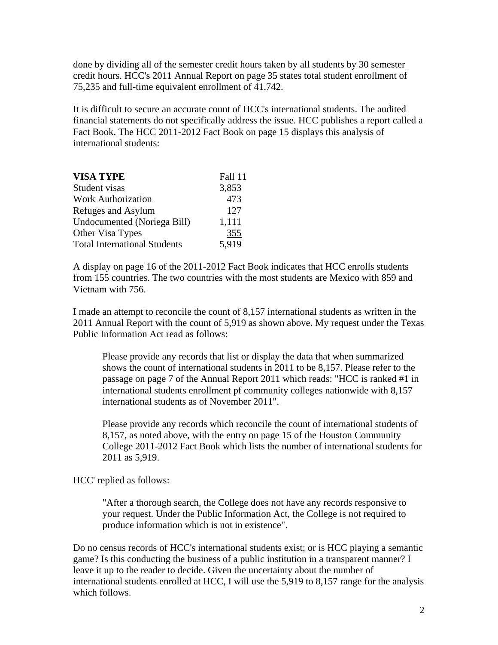done by dividing all of the semester credit hours taken by all students by 30 semester credit hours. HCC's 2011 Annual Report on page 35 states total student enrollment of 75,235 and full-time equivalent enrollment of 41,742.

It is difficult to secure an accurate count of HCC's international students. The audited financial statements do not specifically address the issue. HCC publishes a report called a Fact Book. The HCC 2011-2012 Fact Book on page 15 displays this analysis of international students:

| <b>VISA TYPE</b>                    | Fall 11 |
|-------------------------------------|---------|
| Student visas                       | 3,853   |
| <b>Work Authorization</b>           | 473     |
| Refuges and Asylum                  | 127     |
| Undocumented (Noriega Bill)         | 1,111   |
| Other Visa Types                    | 355     |
| <b>Total International Students</b> | 5,919   |

A display on page 16 of the 2011-2012 Fact Book indicates that HCC enrolls students from 155 countries. The two countries with the most students are Mexico with 859 and Vietnam with 756.

I made an attempt to reconcile the count of 8,157 international students as written in the 2011 Annual Report with the count of 5,919 as shown above. My request under the Texas Public Information Act read as follows:

 Please provide any records that list or display the data that when summarized shows the count of international students in 2011 to be 8,157. Please refer to the passage on page 7 of the Annual Report 2011 which reads: "HCC is ranked #1 in international students enrollment pf community colleges nationwide with 8,157 international students as of November 2011".

 Please provide any records which reconcile the count of international students of 8,157, as noted above, with the entry on page 15 of the Houston Community College 2011-2012 Fact Book which lists the number of international students for 2011 as 5,919.

HCC' replied as follows:

 "After a thorough search, the College does not have any records responsive to your request. Under the Public Information Act, the College is not required to produce information which is not in existence".

Do no census records of HCC's international students exist; or is HCC playing a semantic game? Is this conducting the business of a public institution in a transparent manner? I leave it up to the reader to decide. Given the uncertainty about the number of international students enrolled at HCC, I will use the 5,919 to 8,157 range for the analysis which follows.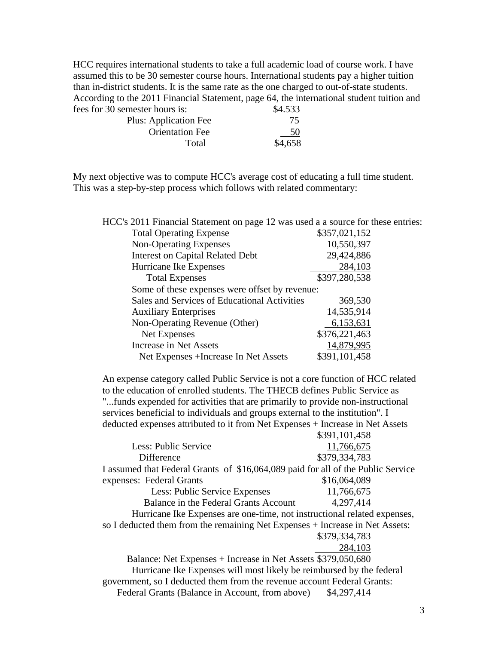HCC requires international students to take a full academic load of course work. I have assumed this to be 30 semester course hours. International students pay a higher tuition than in-district students. It is the same rate as the one charged to out-of-state students. According to the 2011 Financial Statement, page 64, the international student tuition and fees for 30 semester hours is: \$4.533

| Plus: Application Fee  | 75      |
|------------------------|---------|
| <b>Orientation Fee</b> | 50      |
| Total                  | \$4,658 |

My next objective was to compute HCC's average cost of educating a full time student. This was a step-by-step process which follows with related commentary:

| HCC's 2011 Financial Statement on page 12 was used a a source for these entries: |               |
|----------------------------------------------------------------------------------|---------------|
| <b>Total Operating Expense</b>                                                   | \$357,021,152 |
| <b>Non-Operating Expenses</b>                                                    | 10,550,397    |
| <b>Interest on Capital Related Debt</b>                                          | 29,424,886    |
| Hurricane Ike Expenses                                                           | 284,103       |
| <b>Total Expenses</b>                                                            | \$397,280,538 |
| Some of these expenses were offset by revenue:                                   |               |
| Sales and Services of Educational Activities                                     | 369,530       |
| <b>Auxiliary Enterprises</b>                                                     | 14,535,914    |
| Non-Operating Revenue (Other)                                                    | 6,153,631     |
| Net Expenses                                                                     | \$376,221,463 |
| Increase in Net Assets                                                           | 14,879,995    |
| Net Expenses +Increase In Net Assets                                             | \$391,101,458 |

An expense category called Public Service is not a core function of HCC related to the education of enrolled students. The THECB defines Public Service as "...funds expended for activities that are primarily to provide non-instructional services beneficial to individuals and groups external to the institution". I deducted expenses attributed to it from Net Expenses + Increase in Net Assets

\$391,101,458

|                                       | 0.11111770                                                                       |
|---------------------------------------|----------------------------------------------------------------------------------|
| Less: Public Service                  | 11,766,675                                                                       |
| Difference                            | \$379,334,783                                                                    |
|                                       | I assumed that Federal Grants of \$16,064,089 paid for all of the Public Service |
| expenses: Federal Grants              | \$16,064,089                                                                     |
| Less: Public Service Expenses         | 11,766,675                                                                       |
| Balance in the Federal Grants Account | 4,297,414                                                                        |
|                                       | Hurricane Ike Expenses are one-time, not instructional related expenses,         |
|                                       | so I deducted them from the remaining Net Expenses + Increase in Net Assets:     |
|                                       | \$379,334,783                                                                    |
|                                       | 284,103                                                                          |
|                                       | Balance: Net Expenses + Increase in Net Assets \$379,050,680                     |
|                                       | Hurricane Ike Expenses will most likely be reimbursed by the federal             |
|                                       | government, so I deducted them from the revenue account Federal Grants:          |

Federal Grants (Balance in Account, from above) \$4,297,414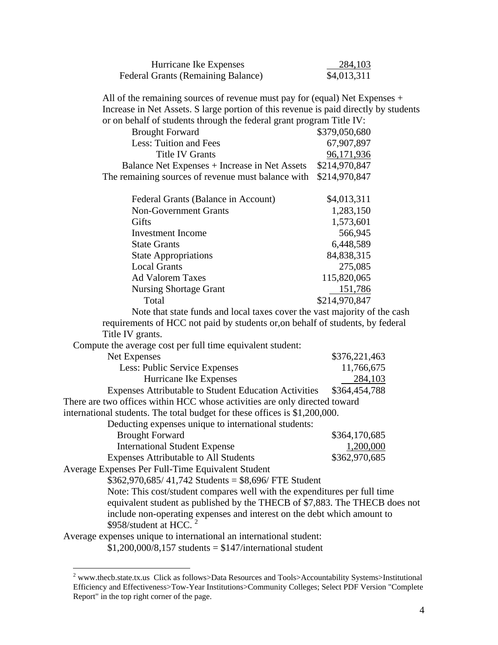| Hurricane Ike Expenses             | 284,103     |
|------------------------------------|-------------|
| Federal Grants (Remaining Balance) | \$4,013,311 |

All of the remaining sources of revenue must pay for (equal) Net Expenses + Increase in Net Assets. S large portion of this revenue is paid directly by students or on behalf of students through the federal grant program Title IV:

| <b>Brought Forward</b>                                            |  | \$379,050,680 |
|-------------------------------------------------------------------|--|---------------|
| Less: Tuition and Fees                                            |  | 67,907,897    |
| <b>Title IV Grants</b>                                            |  | 96,171,936    |
| Balance Net Expenses + Increase in Net Assets                     |  | \$214,970,847 |
| The remaining sources of revenue must balance with $$214,970,847$ |  |               |
|                                                                   |  |               |

| Federal Grants (Balance in Account) | \$4,013,311   |
|-------------------------------------|---------------|
| <b>Non-Government Grants</b>        | 1,283,150     |
| Gifts                               | 1,573,601     |
| <b>Investment</b> Income            | 566,945       |
| <b>State Grants</b>                 | 6,448,589     |
| <b>State Appropriations</b>         | 84,838,315    |
| <b>Local Grants</b>                 | 275,085       |
| <b>Ad Valorem Taxes</b>             | 115,820,065   |
| <b>Nursing Shortage Grant</b>       | 151,786       |
| Total                               | \$214,970,847 |

 Note that state funds and local taxes cover the vast majority of the cash requirements of HCC not paid by students or,on behalf of students, by federal Title IV grants.

| Net Expenses                                                               | \$376,221,463 |
|----------------------------------------------------------------------------|---------------|
| Less: Public Service Expenses                                              | 11,766,675    |
| Hurricane Ike Expenses                                                     | 284,103       |
| <b>Expenses Attributable to Student Education Activities</b>               | \$364,454,788 |
| There are two offices within HCC whose activities are only directed toward |               |
| international students. The total budget for these offices is \$1,200,000. |               |
| Deducting expenses unique to international students:                       |               |

| \$364,170,685 |
|---------------|
| 1,200,000     |
| \$362,970,685 |
|               |

Average Expenses Per Full-Time Equivalent Student

 $\overline{a}$ 

 $$362,970,685/41,742$  Students = \$8,696/ FTE Student

 Note: This cost/student compares well with the expenditures per full time equivalent student as published by the THECB of \$7,883. The THECB does not include non-operating expenses and interest on the debt which amount to  $$958/student$  at HCC.<sup>2</sup>

Average expenses unique to international an international student:

 $$1,200,000/8,157$  students =  $$147/interrational student$ 

 $2$  www.thecb.state.tx.us Click as follows>Data Resources and Tools>Accountability Systems>Institutional Efficiency and Effectiveness>Tow-Year Institutions>Community Colleges; Select PDF Version "Complete Report" in the top right corner of the page.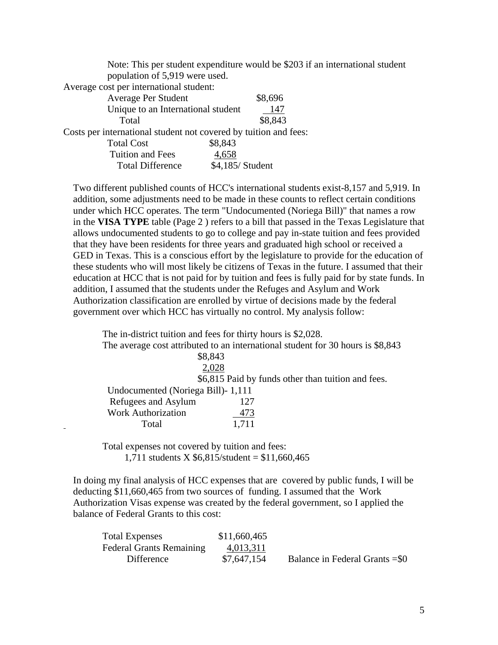Note: This per student expenditure would be \$203 if an international student population of 5,919 were used.

Average cost per international student:

| Average Per Student                                              |                  | \$8,696 |
|------------------------------------------------------------------|------------------|---------|
| Unique to an International student                               |                  | 147     |
| Total                                                            |                  | \$8,843 |
| Costs per international student not covered by tuition and fees: |                  |         |
| <b>Total Cost</b>                                                | \$8,843          |         |
| <b>Tuition and Fees</b>                                          | 4,658            |         |
| <b>Total Difference</b>                                          | \$4,185/ Student |         |

Two different published counts of HCC's international students exist-8,157 and 5,919. In addition, some adjustments need to be made in these counts to reflect certain conditions under which HCC operates. The term "Undocumented (Noriega Bill)" that names a row in the **VISA TYPE** table (Page 2 ) refers to a bill that passed in the Texas Legislature that allows undocumented students to go to college and pay in-state tuition and fees provided that they have been residents for three years and graduated high school or received a GED in Texas. This is a conscious effort by the legislature to provide for the education of these students who will most likely be citizens of Texas in the future. I assumed that their education at HCC that is not paid for by tuition and fees is fully paid for by state funds. In addition, I assumed that the students under the Refuges and Asylum and Work Authorization classification are enrolled by virtue of decisions made by the federal government over which HCC has virtually no control. My analysis follow:

| The in-district tuition and fees for thirty hours is \$2,028.                   |  |
|---------------------------------------------------------------------------------|--|
| The average cost attributed to an international student for 30 hours is \$8,843 |  |
| \$8,843                                                                         |  |
| 2,028                                                                           |  |
| \$6,815 Paid by funds other than tuition and fees.                              |  |
| Undocumented (Noriega Bill) - 1,111                                             |  |
| Refugees and Asylum<br>127                                                      |  |
| <b>Work Authorization</b><br>473                                                |  |
| 1,711<br>Total                                                                  |  |

Total expenses not covered by tuition and fees: 1,711 students X  $$6,815$ /student = \$11,660,465

In doing my final analysis of HCC expenses that are covered by public funds, I will be deducting \$11,660,465 from two sources of funding. I assumed that the Work Authorization Visas expense was created by the federal government, so I applied the balance of Federal Grants to this cost:

| <b>Total Expenses</b>           | \$11,660,465 |                                 |
|---------------------------------|--------------|---------------------------------|
| <b>Federal Grants Remaining</b> | 4,013,311    |                                 |
| Difference                      | \$7,647,154  | Balance in Federal Grants = \$0 |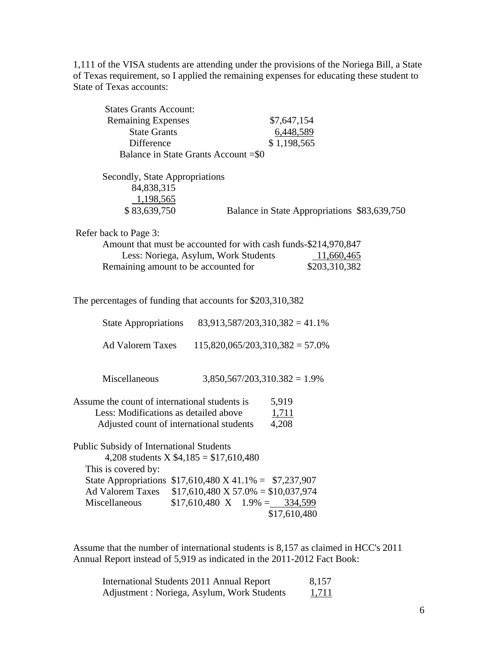1,111 of the VISA students are attending under the provisions of the Noriega Bill, a State of Texas requirement, so I applied the remaining expenses for educating these student to State of Texas accounts:

Assume that the number of international students is 8,157 as claimed in HCC's 2011 Annual Report instead of 5,919 as indicated in the 2011-2012 Fact Book:

| International Students 2011 Annual Report  | 8,157        |
|--------------------------------------------|--------------|
| Adjustment: Noriega, Asylum, Work Students | <u>1,711</u> |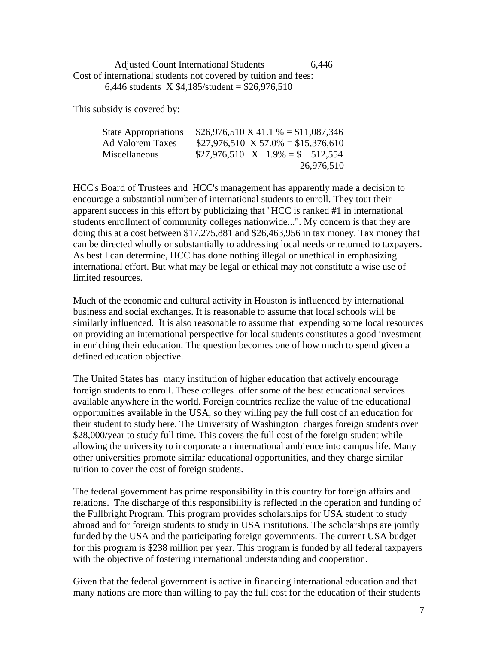Adjusted Count International Students 6,446 Cost of international students not covered by tuition and fees: 6,446 students  $X $4,185/\text{student} = $26,976,510$ 

This subsidy is covered by:

| <b>State Appropriations</b> | $$26,976,510 \text{ X } 41.1\% = $11,087,346$ |
|-----------------------------|-----------------------------------------------|
| <b>Ad Valorem Taxes</b>     | $$27,976,510 \times 57.0\% = $15,376,610$     |
| Miscellaneous               | $$27,976,510$ X $1.9\% = $512,554$            |
|                             | 26,976,510                                    |

HCC's Board of Trustees and HCC's management has apparently made a decision to encourage a substantial number of international students to enroll. They tout their apparent success in this effort by publicizing that "HCC is ranked #1 in international students enrollment of community colleges nationwide...". My concern is that they are doing this at a cost between \$17,275,881 and \$26,463,956 in tax money. Tax money that can be directed wholly or substantially to addressing local needs or returned to taxpayers. As best I can determine, HCC has done nothing illegal or unethical in emphasizing international effort. But what may be legal or ethical may not constitute a wise use of limited resources.

Much of the economic and cultural activity in Houston is influenced by international business and social exchanges. It is reasonable to assume that local schools will be similarly influenced. It is also reasonable to assume that expending some local resources on providing an international perspective for local students constitutes a good investment in enriching their education. The question becomes one of how much to spend given a defined education objective.

The United States has many institution of higher education that actively encourage foreign students to enroll. These colleges offer some of the best educational services available anywhere in the world. Foreign countries realize the value of the educational opportunities available in the USA, so they willing pay the full cost of an education for their student to study here. The University of Washington charges foreign students over \$28,000/year to study full time. This covers the full cost of the foreign student while allowing the university to incorporate an international ambience into campus life. Many other universities promote similar educational opportunities, and they charge similar tuition to cover the cost of foreign students.

The federal government has prime responsibility in this country for foreign affairs and relations. The discharge of this responsibility is reflected in the operation and funding of the Fullbright Program. This program provides scholarships for USA student to study abroad and for foreign students to study in USA institutions. The scholarships are jointly funded by the USA and the participating foreign governments. The current USA budget for this program is \$238 million per year. This program is funded by all federal taxpayers with the objective of fostering international understanding and cooperation.

Given that the federal government is active in financing international education and that many nations are more than willing to pay the full cost for the education of their students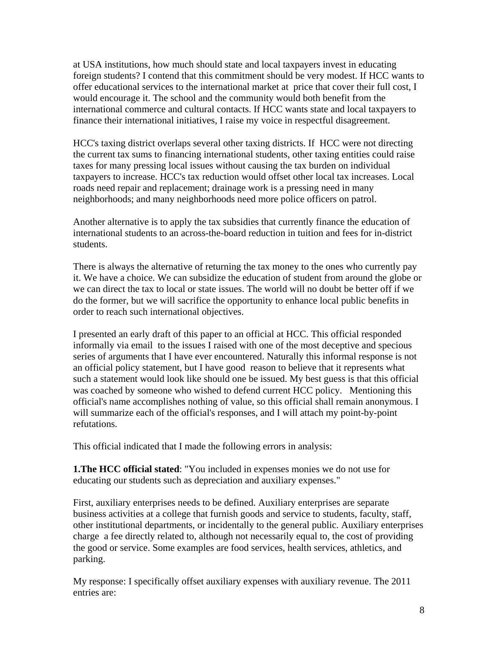at USA institutions, how much should state and local taxpayers invest in educating foreign students? I contend that this commitment should be very modest. If HCC wants to offer educational services to the international market at price that cover their full cost, I would encourage it. The school and the community would both benefit from the international commerce and cultural contacts. If HCC wants state and local taxpayers to finance their international initiatives, I raise my voice in respectful disagreement.

HCC's taxing district overlaps several other taxing districts. If HCC were not directing the current tax sums to financing international students, other taxing entities could raise taxes for many pressing local issues without causing the tax burden on individual taxpayers to increase. HCC's tax reduction would offset other local tax increases. Local roads need repair and replacement; drainage work is a pressing need in many neighborhoods; and many neighborhoods need more police officers on patrol.

Another alternative is to apply the tax subsidies that currently finance the education of international students to an across-the-board reduction in tuition and fees for in-district students.

There is always the alternative of returning the tax money to the ones who currently pay it. We have a choice. We can subsidize the education of student from around the globe or we can direct the tax to local or state issues. The world will no doubt be better off if we do the former, but we will sacrifice the opportunity to enhance local public benefits in order to reach such international objectives.

I presented an early draft of this paper to an official at HCC. This official responded informally via email to the issues I raised with one of the most deceptive and specious series of arguments that I have ever encountered. Naturally this informal response is not an official policy statement, but I have good reason to believe that it represents what such a statement would look like should one be issued. My best guess is that this official was coached by someone who wished to defend current HCC policy. Mentioning this official's name accomplishes nothing of value, so this official shall remain anonymous. I will summarize each of the official's responses, and I will attach my point-by-point refutations.

This official indicated that I made the following errors in analysis:

**1.The HCC official stated**: "You included in expenses monies we do not use for educating our students such as depreciation and auxiliary expenses."

First, auxiliary enterprises needs to be defined. Auxiliary enterprises are separate business activities at a college that furnish goods and service to students, faculty, staff, other institutional departments, or incidentally to the general public. Auxiliary enterprises charge a fee directly related to, although not necessarily equal to, the cost of providing the good or service. Some examples are food services, health services, athletics, and parking.

My response: I specifically offset auxiliary expenses with auxiliary revenue. The 2011 entries are: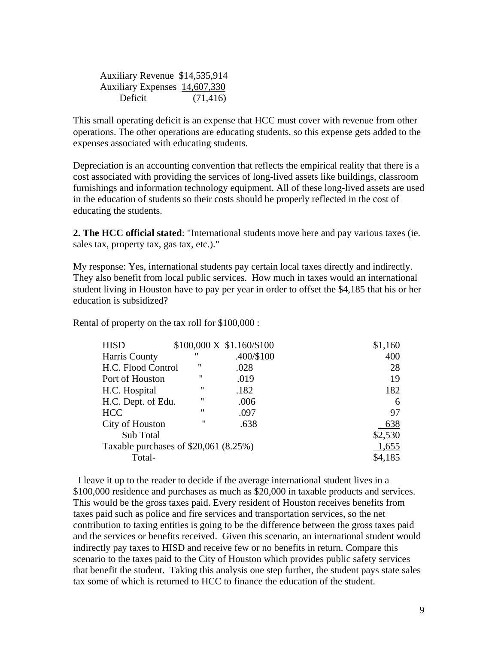Auxiliary Revenue \$14,535,914 Auxiliary Expenses 14,607,330 Deficit (71,416)

This small operating deficit is an expense that HCC must cover with revenue from other operations. The other operations are educating students, so this expense gets added to the expenses associated with educating students.

Depreciation is an accounting convention that reflects the empirical reality that there is a cost associated with providing the services of long-lived assets like buildings, classroom furnishings and information technology equipment. All of these long-lived assets are used in the education of students so their costs should be properly reflected in the cost of educating the students.

**2. The HCC official stated**: "International students move here and pay various taxes (ie. sales tax, property tax, gas tax, etc.)."

My response: Yes, international students pay certain local taxes directly and indirectly. They also benefit from local public services. How much in taxes would an international student living in Houston have to pay per year in order to offset the \$4,185 that his or her education is subsidized?

Rental of property on the tax roll for \$100,000 :

| <b>HISD</b>                            |                   | $$100,000 \text{ X } $1.160 \text{/} $100$ | \$1,160 |
|----------------------------------------|-------------------|--------------------------------------------|---------|
| Harris County                          | "                 | .400/\$100                                 | 400     |
| H.C. Flood Control                     | "                 | .028                                       | 28      |
| Port of Houston                        | "                 | .019                                       | 19      |
| H.C. Hospital                          | $^{\prime\prime}$ | .182                                       | 182     |
| H.C. Dept. of Edu.                     | "                 | .006                                       | 6       |
| <b>HCC</b>                             | "                 | .097                                       | 97      |
| City of Houston                        | $^{\prime\prime}$ | .638                                       | 638     |
| Sub Total                              |                   |                                            | \$2,530 |
| Taxable purchases of $$20,061 (8.25%)$ |                   |                                            | 1,655   |
| Total-                                 |                   |                                            | \$4,185 |

 I leave it up to the reader to decide if the average international student lives in a \$100,000 residence and purchases as much as \$20,000 in taxable products and services. This would be the gross taxes paid. Every resident of Houston receives benefits from taxes paid such as police and fire services and transportation services, so the net contribution to taxing entities is going to be the difference between the gross taxes paid and the services or benefits received. Given this scenario, an international student would indirectly pay taxes to HISD and receive few or no benefits in return. Compare this scenario to the taxes paid to the City of Houston which provides public safety services that benefit the student. Taking this analysis one step further, the student pays state sales tax some of which is returned to HCC to finance the education of the student.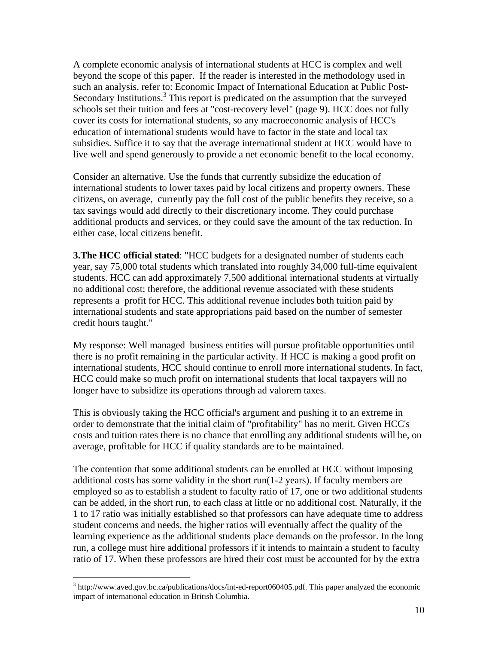A complete economic analysis of international students at HCC is complex and well beyond the scope of this paper. If the reader is interested in the methodology used in such an analysis, refer to: Economic Impact of International Education at Public Post-Secondary Institutions.<sup>3</sup> This report is predicated on the assumption that the surveyed schools set their tuition and fees at "cost-recovery level" (page 9). HCC does not fully cover its costs for international students, so any macroeconomic analysis of HCC's education of international students would have to factor in the state and local tax subsidies. Suffice it to say that the average international student at HCC would have to live well and spend generously to provide a net economic benefit to the local economy.

Consider an alternative. Use the funds that currently subsidize the education of international students to lower taxes paid by local citizens and property owners. These citizens, on average, currently pay the full cost of the public benefits they receive, so a tax savings would add directly to their discretionary income. They could purchase additional products and services, or they could save the amount of the tax reduction. In either case, local citizens benefit.

**3.The HCC official stated:** "HCC budgets for a designated number of students each year, say 75,000 total students which translated into roughly 34,000 full-time equivalent students. HCC can add approximately 7,500 additional international students at virtually no additional cost; therefore, the additional revenue associated with these students represents a profit for HCC. This additional revenue includes both tuition paid by international students and state appropriations paid based on the number of semester credit hours taught."

My response: Well managed business entities will pursue profitable opportunities until there is no profit remaining in the particular activity. If HCC is making a good profit on international students, HCC should continue to enroll more international students. In fact, HCC could make so much profit on international students that local taxpayers will no longer have to subsidize its operations through ad valorem taxes.

This is obviously taking the HCC official's argument and pushing it to an extreme in order to demonstrate that the initial claim of "profitability" has no merit. Given HCC's costs and tuition rates there is no chance that enrolling any additional students will be, on average, profitable for HCC if quality standards are to be maintained.

The contention that some additional students can be enrolled at HCC without imposing additional costs has some validity in the short run(1-2 years). If faculty members are employed so as to establish a student to faculty ratio of 17, one or two additional students can be added, in the short run, to each class at little or no additional cost. Naturally, if the 1 to 17 ratio was initially established so that professors can have adequate time to address student concerns and needs, the higher ratios will eventually affect the quality of the learning experience as the additional students place demands on the professor. In the long run, a college must hire additional professors if it intends to maintain a student to faculty ratio of 17. When these professors are hired their cost must be accounted for by the extra

 $\overline{a}$ 

 $3$  http://www.aved.gov.bc.ca/publications/docs/int-ed-report060405.pdf. This paper analyzed the economic impact of international education in British Columbia.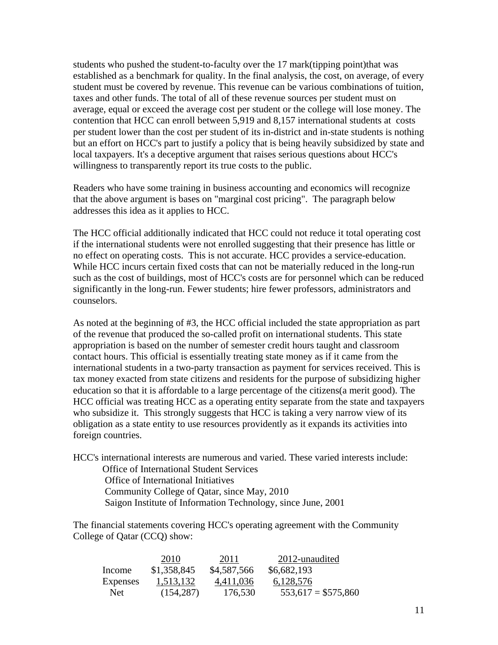students who pushed the student-to-faculty over the 17 mark(tipping point)that was established as a benchmark for quality. In the final analysis, the cost, on average, of every student must be covered by revenue. This revenue can be various combinations of tuition, taxes and other funds. The total of all of these revenue sources per student must on average, equal or exceed the average cost per student or the college will lose money. The contention that HCC can enroll between 5,919 and 8,157 international students at costs per student lower than the cost per student of its in-district and in-state students is nothing but an effort on HCC's part to justify a policy that is being heavily subsidized by state and local taxpayers. It's a deceptive argument that raises serious questions about HCC's willingness to transparently report its true costs to the public.

Readers who have some training in business accounting and economics will recognize that the above argument is bases on "marginal cost pricing". The paragraph below addresses this idea as it applies to HCC.

The HCC official additionally indicated that HCC could not reduce it total operating cost if the international students were not enrolled suggesting that their presence has little or no effect on operating costs. This is not accurate. HCC provides a service-education. While HCC incurs certain fixed costs that can not be materially reduced in the long-run such as the cost of buildings, most of HCC's costs are for personnel which can be reduced significantly in the long-run. Fewer students; hire fewer professors, administrators and counselors.

As noted at the beginning of #3, the HCC official included the state appropriation as part of the revenue that produced the so-called profit on international students. This state appropriation is based on the number of semester credit hours taught and classroom contact hours. This official is essentially treating state money as if it came from the international students in a two-party transaction as payment for services received. This is tax money exacted from state citizens and residents for the purpose of subsidizing higher education so that it is affordable to a large percentage of the citizens(a merit good). The HCC official was treating HCC as a operating entity separate from the state and taxpayers who subsidize it. This strongly suggests that HCC is taking a very narrow view of its obligation as a state entity to use resources providently as it expands its activities into foreign countries.

HCC's international interests are numerous and varied. These varied interests include: Office of International Student Services Office of International Initiatives Community College of Qatar, since May, 2010 Saigon Institute of Information Technology, since June, 2001

The financial statements covering HCC's operating agreement with the Community College of Qatar (CCQ) show:

|                 | 2010        | 2011        | 2012-unaudited       |  |
|-----------------|-------------|-------------|----------------------|--|
| Income          | \$1,358,845 | \$4,587,566 | \$6,682,193          |  |
| <b>Expenses</b> | 1,513,132   | 4,411,036   | 6,128,576            |  |
| Net.            | (154, 287)  | 176,530     | $553,617 = $575,860$ |  |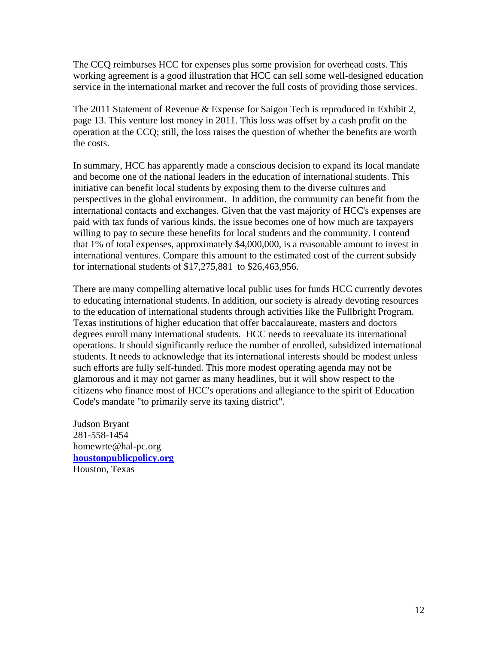The CCQ reimburses HCC for expenses plus some provision for overhead costs. This working agreement is a good illustration that HCC can sell some well-designed education service in the international market and recover the full costs of providing those services.

The 2011 Statement of Revenue & Expense for Saigon Tech is reproduced in Exhibit 2, page 13. This venture lost money in 2011. This loss was offset by a cash profit on the operation at the CCQ; still, the loss raises the question of whether the benefits are worth the costs.

In summary, HCC has apparently made a conscious decision to expand its local mandate and become one of the national leaders in the education of international students. This initiative can benefit local students by exposing them to the diverse cultures and perspectives in the global environment. In addition, the community can benefit from the international contacts and exchanges. Given that the vast majority of HCC's expenses are paid with tax funds of various kinds, the issue becomes one of how much are taxpayers willing to pay to secure these benefits for local students and the community. I contend that 1% of total expenses, approximately \$4,000,000, is a reasonable amount to invest in international ventures. Compare this amount to the estimated cost of the current subsidy for international students of \$17,275,881 to \$26,463,956.

There are many compelling alternative local public uses for funds HCC currently devotes to educating international students. In addition, our society is already devoting resources to the education of international students through activities like the Fullbright Program. Texas institutions of higher education that offer baccalaureate, masters and doctors degrees enroll many international students. HCC needs to reevaluate its international operations. It should significantly reduce the number of enrolled, subsidized international students. It needs to acknowledge that its international interests should be modest unless such efforts are fully self-funded. This more modest operating agenda may not be glamorous and it may not garner as many headlines, but it will show respect to the citizens who finance most of HCC's operations and allegiance to the spirit of Education Code's mandate "to primarily serve its taxing district".

Judson Bryant 281-558-1454 homewrte@hal-pc.org **houstonpublicpolicy.org**  Houston, Texas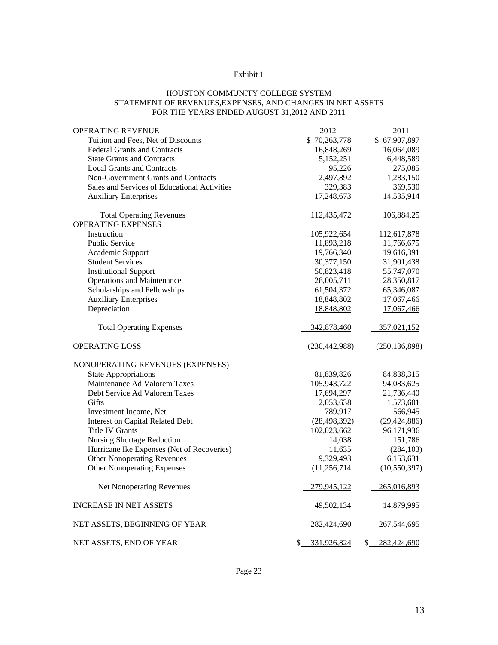## Exhibit 1

## HOUSTON COMMUNITY COLLEGE SYSTEM STATEMENT OF REVENUES,EXPENSES, AND CHANGES IN NET ASSETS FOR THE YEARS ENDED AUGUST 31,2012 AND 2011

| OPERATING REVENUE                            | 2012            | 2011            |
|----------------------------------------------|-----------------|-----------------|
| Tuition and Fees, Net of Discounts           | \$70,263,778    | \$67,907,897    |
| <b>Federal Grants and Contracts</b>          | 16,848,269      | 16,064,089      |
| <b>State Grants and Contracts</b>            | 5,152,251       | 6,448,589       |
| <b>Local Grants and Contracts</b>            | 95,226          | 275,085         |
| Non-Government Grants and Contracts          | 2,497,892       | 1,283,150       |
| Sales and Services of Educational Activities | 329,383         | 369,530         |
| <b>Auxiliary Enterprises</b>                 | 17,248,673      | 14,535,914      |
| <b>Total Operating Revenues</b>              | 112,435,472     | 106,884,25      |
| OPERATING EXPENSES                           |                 |                 |
| Instruction                                  | 105,922,654     | 112,617,878     |
| <b>Public Service</b>                        | 11,893,218      | 11,766,675      |
| Academic Support                             | 19,766,340      | 19,616,391      |
| <b>Student Services</b>                      | 30,377,150      | 31,901,438      |
| <b>Institutional Support</b>                 | 50,823,418      | 55,747,070      |
| <b>Operations and Maintenance</b>            | 28,005,711      | 28,350,817      |
| Scholarships and Fellowships                 | 61,504,372      | 65,346,087      |
| <b>Auxiliary Enterprises</b>                 | 18,848,802      | 17,067,466      |
| Depreciation                                 | 18,848,802      | 17,067,466      |
| <b>Total Operating Expenses</b>              | 342,878,460     | 357,021,152     |
| <b>OPERATING LOSS</b>                        | (230, 442, 988) | (250, 136, 898) |
| NONOPERATING REVENUES (EXPENSES)             |                 |                 |
| <b>State Appropriations</b>                  | 81,839,826      | 84,838,315      |
| Maintenance Ad Valorem Taxes                 | 105,943,722     | 94,083,625      |
| Debt Service Ad Valorem Taxes                | 17,694,297      | 21,736,440      |
| Gifts                                        | 2,053,638       | 1,573,601       |
| Investment Income, Net                       | 789,917         | 566,945         |
| <b>Interest on Capital Related Debt</b>      | (28, 498, 392)  | (29, 424, 886)  |
| <b>Title IV Grants</b>                       | 102,023,662     | 96,171,936      |
| Nursing Shortage Reduction                   | 14,038          | 151,786         |
| Hurricane Ike Expenses (Net of Recoveries)   | 11,635          | (284, 103)      |
| <b>Other Nonoperating Revenues</b>           | 9,329,493       | 6,153,631       |
| <b>Other Nonoperating Expenses</b>           | (11,256,714)    | (10, 550, 397)  |
| Net Nonoperating Revenues                    | 279,945,122     | 265,016,893     |
| <b>INCREASE IN NET ASSETS</b>                | 49,502,134      | 14,879,995      |
| NET ASSETS, BEGINNING OF YEAR                | 282,424,690     | 267,544,695     |
|                                              |                 |                 |